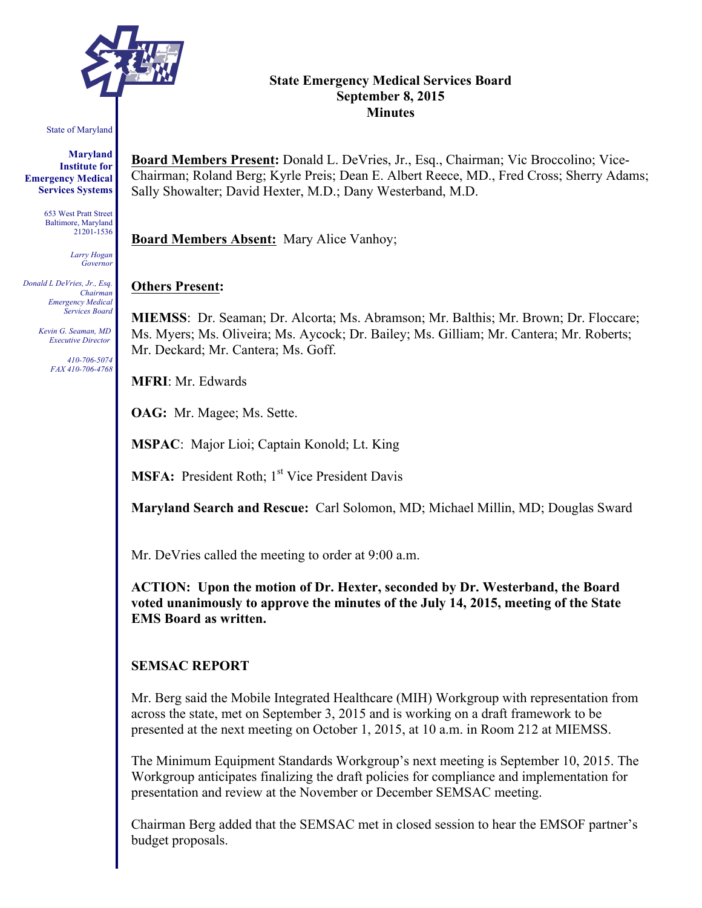

#### State of Maryland

**Maryland Institute for Emergency Medical Services Systems**

> 653 West Pratt Street Baltimore, Maryland 21201-1536

> > *Larry Hogan Governor*

*Donald L DeVries, Jr., Esq. Chairman Emergency Medical Services Board*

> *Kevin G. Seaman, MD Executive Director*

> > *410-706-5074 FAX 410-706-4768*

### **State Emergency Medical Services Board September 8, 2015 Minutes**

**Board Members Present:** Donald L. DeVries, Jr., Esq., Chairman; Vic Broccolino; Vice-Chairman; Roland Berg; Kyrle Preis; Dean E. Albert Reece, MD., Fred Cross; Sherry Adams; Sally Showalter; David Hexter, M.D.; Dany Westerband, M.D.

**Board Members Absent:** Mary Alice Vanhoy;

#### **Others Present:**

**MIEMSS**: Dr. Seaman; Dr. Alcorta; Ms. Abramson; Mr. Balthis; Mr. Brown; Dr. Floccare; Ms. Myers; Ms. Oliveira; Ms. Aycock; Dr. Bailey; Ms. Gilliam; Mr. Cantera; Mr. Roberts; Mr. Deckard; Mr. Cantera; Ms. Goff.

**MFRI**: Mr. Edwards

**OAG:** Mr. Magee; Ms. Sette.

**MSPAC**: Major Lioi; Captain Konold; Lt. King

**MSFA:** President Roth; 1<sup>st</sup> Vice President Davis

**Maryland Search and Rescue:** Carl Solomon, MD; Michael Millin, MD; Douglas Sward

Mr. DeVries called the meeting to order at 9:00 a.m.

**ACTION: Upon the motion of Dr. Hexter, seconded by Dr. Westerband, the Board voted unanimously to approve the minutes of the July 14, 2015, meeting of the State EMS Board as written.**

#### **SEMSAC REPORT**

Mr. Berg said the Mobile Integrated Healthcare (MIH) Workgroup with representation from across the state, met on September 3, 2015 and is working on a draft framework to be presented at the next meeting on October 1, 2015, at 10 a.m. in Room 212 at MIEMSS.

The Minimum Equipment Standards Workgroup's next meeting is September 10, 2015. The Workgroup anticipates finalizing the draft policies for compliance and implementation for presentation and review at the November or December SEMSAC meeting.

Chairman Berg added that the SEMSAC met in closed session to hear the EMSOF partner's budget proposals.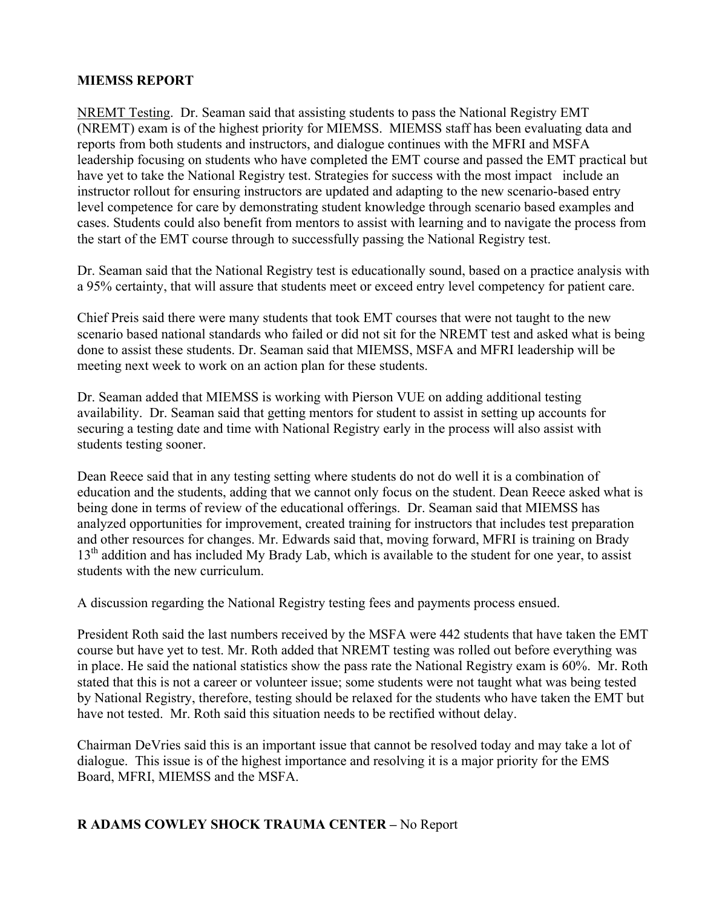# **MIEMSS REPORT**

NREMT Testing. Dr. Seaman said that assisting students to pass the National Registry EMT (NREMT) exam is of the highest priority for MIEMSS. MIEMSS staff has been evaluating data and reports from both students and instructors, and dialogue continues with the MFRI and MSFA leadership focusing on students who have completed the EMT course and passed the EMT practical but have yet to take the National Registry test. Strategies for success with the most impact include an instructor rollout for ensuring instructors are updated and adapting to the new scenario-based entry level competence for care by demonstrating student knowledge through scenario based examples and cases. Students could also benefit from mentors to assist with learning and to navigate the process from the start of the EMT course through to successfully passing the National Registry test.

Dr. Seaman said that the National Registry test is educationally sound, based on a practice analysis with a 95% certainty, that will assure that students meet or exceed entry level competency for patient care.

Chief Preis said there were many students that took EMT courses that were not taught to the new scenario based national standards who failed or did not sit for the NREMT test and asked what is being done to assist these students. Dr. Seaman said that MIEMSS, MSFA and MFRI leadership will be meeting next week to work on an action plan for these students.

Dr. Seaman added that MIEMSS is working with Pierson VUE on adding additional testing availability. Dr. Seaman said that getting mentors for student to assist in setting up accounts for securing a testing date and time with National Registry early in the process will also assist with students testing sooner.

Dean Reece said that in any testing setting where students do not do well it is a combination of education and the students, adding that we cannot only focus on the student. Dean Reece asked what is being done in terms of review of the educational offerings. Dr. Seaman said that MIEMSS has analyzed opportunities for improvement, created training for instructors that includes test preparation and other resources for changes. Mr. Edwards said that, moving forward, MFRI is training on Brady 13<sup>th</sup> addition and has included My Brady Lab, which is available to the student for one year, to assist students with the new curriculum.

A discussion regarding the National Registry testing fees and payments process ensued.

President Roth said the last numbers received by the MSFA were 442 students that have taken the EMT course but have yet to test. Mr. Roth added that NREMT testing was rolled out before everything was in place. He said the national statistics show the pass rate the National Registry exam is 60%. Mr. Roth stated that this is not a career or volunteer issue; some students were not taught what was being tested by National Registry, therefore, testing should be relaxed for the students who have taken the EMT but have not tested. Mr. Roth said this situation needs to be rectified without delay.

Chairman DeVries said this is an important issue that cannot be resolved today and may take a lot of dialogue. This issue is of the highest importance and resolving it is a major priority for the EMS Board, MFRI, MIEMSS and the MSFA.

# **R ADAMS COWLEY SHOCK TRAUMA CENTER –** No Report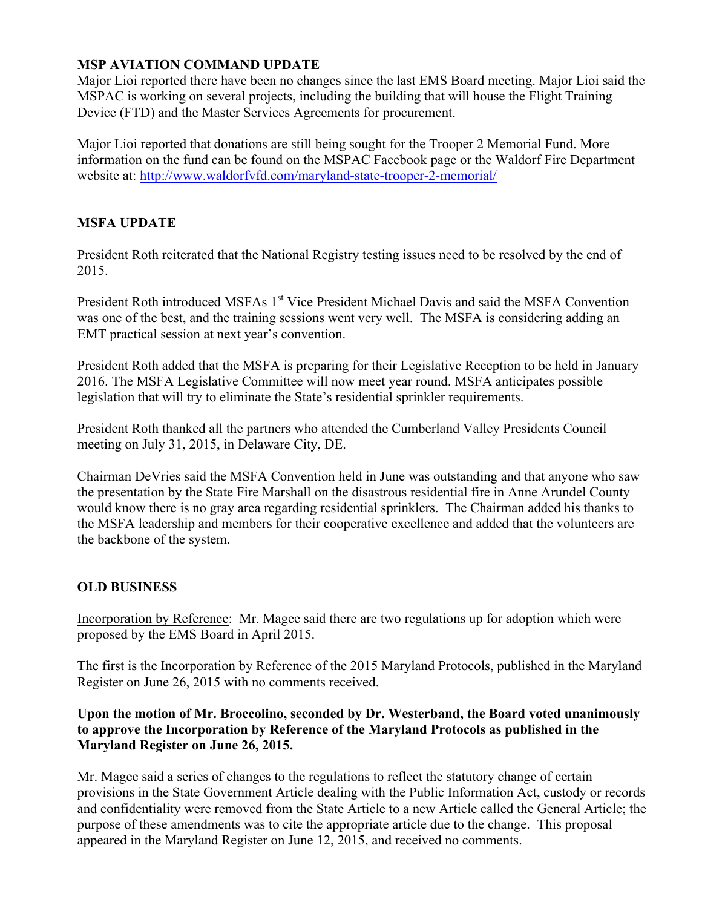# **MSP AVIATION COMMAND UPDATE**

Major Lioi reported there have been no changes since the last EMS Board meeting. Major Lioi said the MSPAC is working on several projects, including the building that will house the Flight Training Device (FTD) and the Master Services Agreements for procurement.

Major Lioi reported that donations are still being sought for the Trooper 2 Memorial Fund. More information on the fund can be found on the MSPAC Facebook page or the Waldorf Fire Department website at: http://www.waldorfvfd.com/maryland-state-trooper-2-memorial/

# **MSFA UPDATE**

President Roth reiterated that the National Registry testing issues need to be resolved by the end of 2015.

President Roth introduced MSFAs 1<sup>st</sup> Vice President Michael Davis and said the MSFA Convention was one of the best, and the training sessions went very well. The MSFA is considering adding an EMT practical session at next year's convention.

President Roth added that the MSFA is preparing for their Legislative Reception to be held in January 2016. The MSFA Legislative Committee will now meet year round. MSFA anticipates possible legislation that will try to eliminate the State's residential sprinkler requirements.

President Roth thanked all the partners who attended the Cumberland Valley Presidents Council meeting on July 31, 2015, in Delaware City, DE.

Chairman DeVries said the MSFA Convention held in June was outstanding and that anyone who saw the presentation by the State Fire Marshall on the disastrous residential fire in Anne Arundel County would know there is no gray area regarding residential sprinklers. The Chairman added his thanks to the MSFA leadership and members for their cooperative excellence and added that the volunteers are the backbone of the system.

# **OLD BUSINESS**

Incorporation by Reference: Mr. Magee said there are two regulations up for adoption which were proposed by the EMS Board in April 2015.

The first is the Incorporation by Reference of the 2015 Maryland Protocols, published in the Maryland Register on June 26, 2015 with no comments received.

# **Upon the motion of Mr. Broccolino, seconded by Dr. Westerband, the Board voted unanimously to approve the Incorporation by Reference of the Maryland Protocols as published in the Maryland Register on June 26, 2015.**

Mr. Magee said a series of changes to the regulations to reflect the statutory change of certain provisions in the State Government Article dealing with the Public Information Act, custody or records and confidentiality were removed from the State Article to a new Article called the General Article; the purpose of these amendments was to cite the appropriate article due to the change. This proposal appeared in the Maryland Register on June 12, 2015, and received no comments.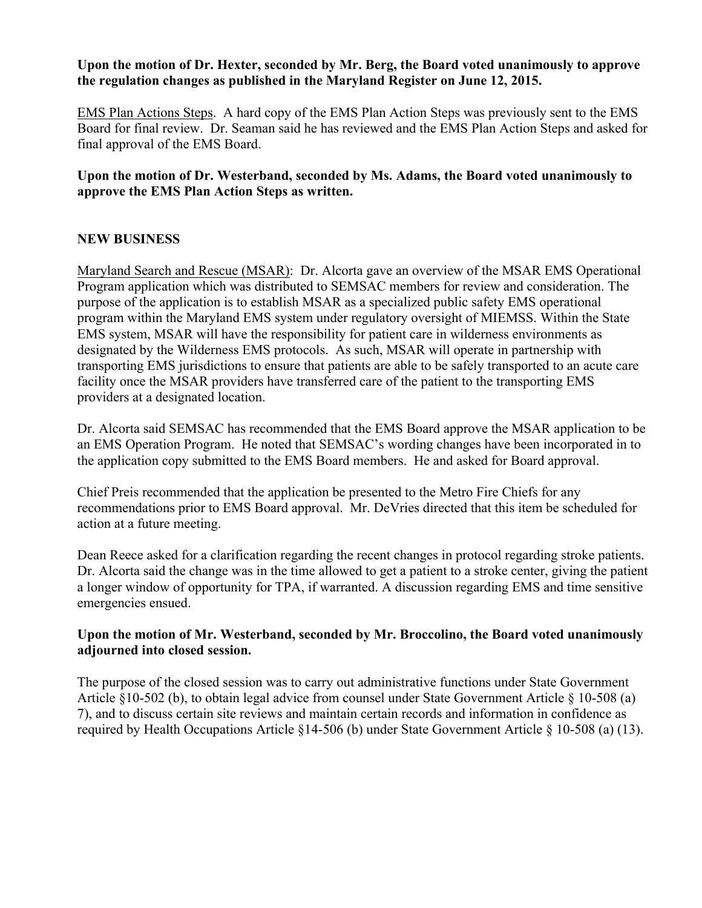#### **Upon the motion of Dr. Hexter, seconded by Mr. Berg, the Board voted unanimously to approve the regulation changes as published in the Maryland Register on June 12, 2015.**

EMS Plan Actions Steps. A hard copy of the EMS Plan Action Steps was previously sent to the EMS Board for final review. Dr. Seaman said he has reviewed and the EMS Plan Action Steps and asked for final approval of the EMS Board.

# **Upon the motion of Dr. Westerband, seconded by Ms. Adams, the Board voted unanimously to approve the EMS Plan Action Steps as written.**

# **NEW BUSINESS**

Maryland Search and Rescue (MSAR): Dr. Alcorta gave an overview of the MSAR EMS Operational Program application which was distributed to SEMSAC members for review and consideration. The purpose of the application is to establish MSAR as a specialized public safety EMS operational program within the Maryland EMS system under regulatory oversight of MIEMSS. Within the State EMS system, MSAR will have the responsibility for patient care in wilderness environments as designated by the Wilderness EMS protocols. As such, MSAR will operate in partnership with transporting EMS jurisdictions to ensure that patients are able to be safely transported to an acute care facility once the MSAR providers have transferred care of the patient to the transporting EMS providers at a designated location.

Dr. Alcorta said SEMSAC has recommended that the EMS Board approve the MSAR application to be an EMS Operation Program. He noted that SEMSAC's wording changes have been incorporated in to the application copy submitted to the EMS Board members. He and asked for Board approval.

Chief Preis recommended that the application be presented to the Metro Fire Chiefs for any recommendations prior to EMS Board approval. Mr. DeVries directed that this item be scheduled for action at a future meeting.

Dean Reece asked for a clarification regarding the recent changes in protocol regarding stroke patients. Dr. Alcorta said the change was in the time allowed to get a patient to a stroke center, giving the patient a longer window of opportunity for TPA, if warranted. A discussion regarding EMS and time sensitive emergencies ensued.

# **Upon the motion of Mr. Westerband, seconded by Mr. Broccolino, the Board voted unanimously adjourned into closed session.**

The purpose of the closed session was to carry out administrative functions under State Government Article §10-502 (b), to obtain legal advice from counsel under State Government Article § 10-508 (a) 7), and to discuss certain site reviews and maintain certain records and information in confidence as required by Health Occupations Article §14-506 (b) under State Government Article § 10-508 (a) (13).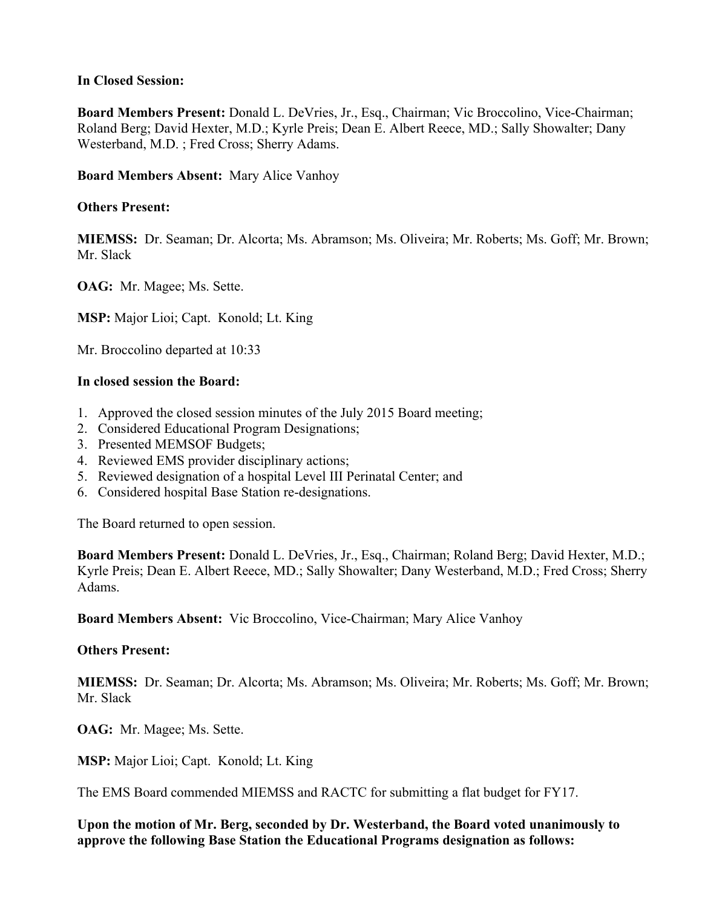### **In Closed Session:**

**Board Members Present:** Donald L. DeVries, Jr., Esq., Chairman; Vic Broccolino, Vice-Chairman; Roland Berg; David Hexter, M.D.; Kyrle Preis; Dean E. Albert Reece, MD.; Sally Showalter; Dany Westerband, M.D. ; Fred Cross; Sherry Adams.

**Board Members Absent:** Mary Alice Vanhoy

### **Others Present:**

**MIEMSS:** Dr. Seaman; Dr. Alcorta; Ms. Abramson; Ms. Oliveira; Mr. Roberts; Ms. Goff; Mr. Brown; Mr. Slack

**OAG:** Mr. Magee; Ms. Sette.

**MSP:** Major Lioi; Capt. Konold; Lt. King

Mr. Broccolino departed at 10:33

#### **In closed session the Board:**

- 1. Approved the closed session minutes of the July 2015 Board meeting;
- 2. Considered Educational Program Designations;
- 3. Presented MEMSOF Budgets;
- 4. Reviewed EMS provider disciplinary actions;
- 5. Reviewed designation of a hospital Level III Perinatal Center; and
- 6. Considered hospital Base Station re-designations.

The Board returned to open session.

**Board Members Present:** Donald L. DeVries, Jr., Esq., Chairman; Roland Berg; David Hexter, M.D.; Kyrle Preis; Dean E. Albert Reece, MD.; Sally Showalter; Dany Westerband, M.D.; Fred Cross; Sherry Adams.

**Board Members Absent:** Vic Broccolino, Vice-Chairman; Mary Alice Vanhoy

#### **Others Present:**

**MIEMSS:** Dr. Seaman; Dr. Alcorta; Ms. Abramson; Ms. Oliveira; Mr. Roberts; Ms. Goff; Mr. Brown; Mr. Slack

**OAG:** Mr. Magee; Ms. Sette.

**MSP:** Major Lioi; Capt. Konold; Lt. King

The EMS Board commended MIEMSS and RACTC for submitting a flat budget for FY17.

**Upon the motion of Mr. Berg, seconded by Dr. Westerband, the Board voted unanimously to approve the following Base Station the Educational Programs designation as follows:**